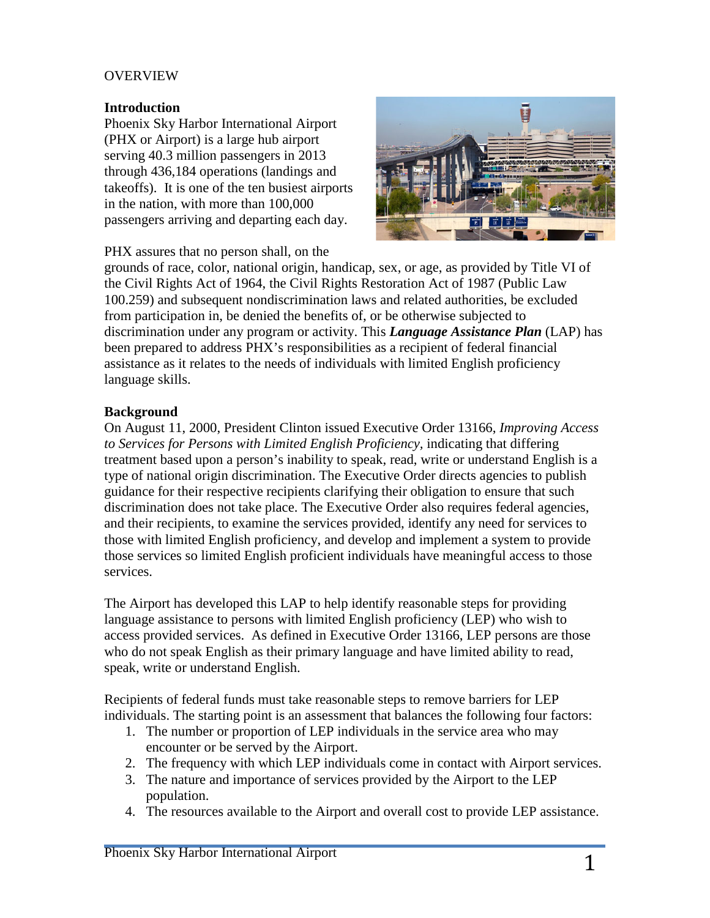### **OVERVIEW**

### **Introduction**

Phoenix Sky Harbor International Airport (PHX or Airport) is a large hub airport serving 40.3 million passengers in 2013 through 436,184 operations (landings and takeoffs). It is one of the ten busiest airports in the nation, with more than 100,000 passengers arriving and departing each day.



PHX assures that no person shall, on the

grounds of race, color, national origin, handicap, [sex, or age, as provided by Title VI of](http://www.skyharbor.com/images/image-library/Airport%20exterior%20from%20the%20East.jpg)  the Civil Rights Act of 1964, the Civil Rights Restoration Act of 1987 (Public Law 100.259) and subsequent nondiscrimination laws and related authorities, be excluded from participation in, be denied the benefits of, or be otherwise subjected to discrimination under any program or activity. This *Language Assistance Plan* (LAP) has been prepared to address PHX's responsibilities as a recipient of federal financial assistance as it relates to the needs of individuals with limited English proficiency language skills.

#### **Background**

On August 11, 2000, President Clinton issued Executive Order 13166, *Improving Access to Services for Persons with Limited English Proficiency,* indicating that differing treatment based upon a person's inability to speak, read, write or understand English is a type of national origin discrimination. The Executive Order directs agencies to publish guidance for their respective recipients clarifying their obligation to ensure that such discrimination does not take place. The Executive Order also requires federal agencies, and their recipients, to examine the services provided, identify any need for services to those with limited English proficiency, and develop and implement a system to provide those services so limited English proficient individuals have meaningful access to those services.

The Airport has developed this LAP to help identify reasonable steps for providing language assistance to persons with limited English proficiency (LEP) who wish to access provided services. As defined in Executive Order 13166, LEP persons are those who do not speak English as their primary language and have limited ability to read, speak, write or understand English.

Recipients of federal funds must take reasonable steps to remove barriers for LEP individuals. The starting point is an assessment that balances the following four factors:

- 1. The number or proportion of LEP individuals in the service area who may encounter or be served by the Airport.
- 2. The frequency with which LEP individuals come in contact with Airport services.
- 3. The nature and importance of services provided by the Airport to the LEP population.
- 4. The resources available to the Airport and overall cost to provide LEP assistance.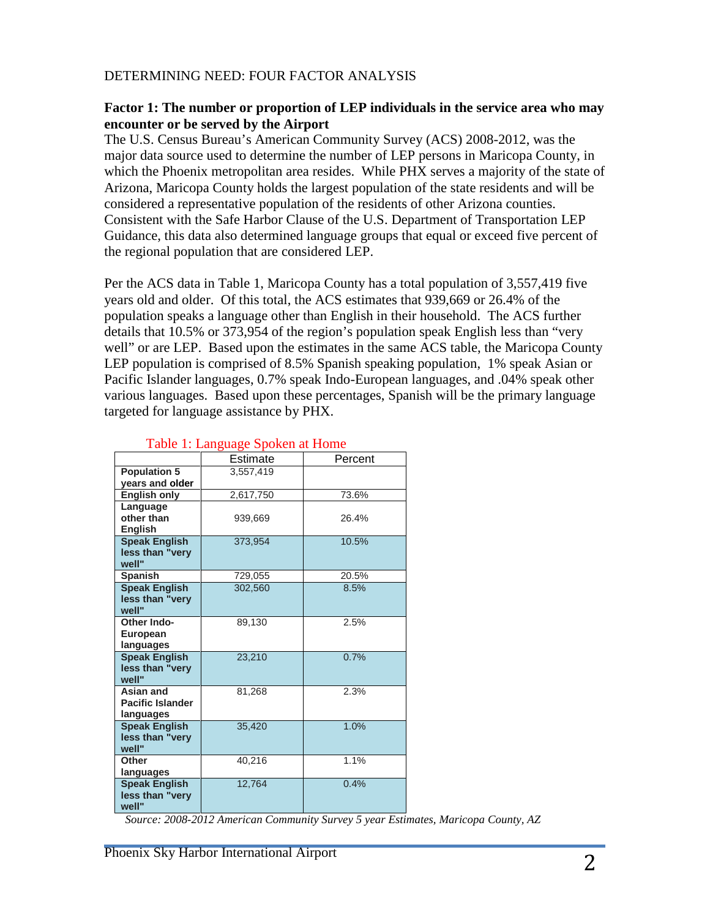## DETERMINING NEED: FOUR FACTOR ANALYSIS

### **Factor 1: The number or proportion of LEP individuals in the service area who may encounter or be served by the Airport**

The U.S. Census Bureau's American Community Survey (ACS) 2008-2012, was the major data source used to determine the number of LEP persons in Maricopa County, in which the Phoenix metropolitan area resides. While PHX serves a majority of the state of Arizona, Maricopa County holds the largest population of the state residents and will be considered a representative population of the residents of other Arizona counties. Consistent with the Safe Harbor Clause of the U.S. Department of Transportation LEP Guidance, this data also determined language groups that equal or exceed five percent of the regional population that are considered LEP.

Per the ACS data in Table 1, Maricopa County has a total population of 3,557,419 five years old and older. Of this total, the ACS estimates that 939,669 or 26.4% of the population speaks a language other than English in their household. The ACS further details that 10.5% or 373,954 of the region's population speak English less than "very well" or are LEP. Based upon the estimates in the same ACS table, the Maricopa County LEP population is comprised of 8.5% Spanish speaking population, 1% speak Asian or Pacific Islander languages, 0.7% speak Indo-European languages, and .04% speak other various languages. Based upon these percentages, Spanish will be the primary language targeted for language assistance by PHX.

|                         | Estimate  | Percent |  |  |  |  |
|-------------------------|-----------|---------|--|--|--|--|
| <b>Population 5</b>     | 3.557.419 |         |  |  |  |  |
| years and older         |           |         |  |  |  |  |
| <b>English only</b>     | 2,617,750 | 73.6%   |  |  |  |  |
| Language                |           |         |  |  |  |  |
| other than              | 939,669   | 26.4%   |  |  |  |  |
| <b>English</b>          |           |         |  |  |  |  |
| <b>Speak English</b>    | 373,954   | 10.5%   |  |  |  |  |
| less than "very         |           |         |  |  |  |  |
| well"                   |           |         |  |  |  |  |
| <b>Spanish</b>          | 729,055   | 20.5%   |  |  |  |  |
| <b>Speak English</b>    | 302,560   | 8.5%    |  |  |  |  |
| less than "very         |           |         |  |  |  |  |
| well"                   |           |         |  |  |  |  |
| Other Indo-             | 89,130    | 2.5%    |  |  |  |  |
| <b>European</b>         |           |         |  |  |  |  |
| languages               |           |         |  |  |  |  |
| <b>Speak English</b>    | 23,210    | 0.7%    |  |  |  |  |
| less than "very         |           |         |  |  |  |  |
| well"                   |           |         |  |  |  |  |
| Asian and               | 81,268    | 2.3%    |  |  |  |  |
| <b>Pacific Islander</b> |           |         |  |  |  |  |
| languages               |           |         |  |  |  |  |
| <b>Speak English</b>    | 35,420    | 1.0%    |  |  |  |  |
| less than "very         |           |         |  |  |  |  |
| well"                   |           |         |  |  |  |  |
| Other                   | 40.216    | 1.1%    |  |  |  |  |
| languages               |           |         |  |  |  |  |
| <b>Speak English</b>    | 12.764    | 0.4%    |  |  |  |  |
| less than "very         |           |         |  |  |  |  |
| well"                   |           |         |  |  |  |  |

## Table 1: Language Spoken at Home

*Source: 2008-2012 American Community Survey 5 year Estimates, Maricopa County, AZ*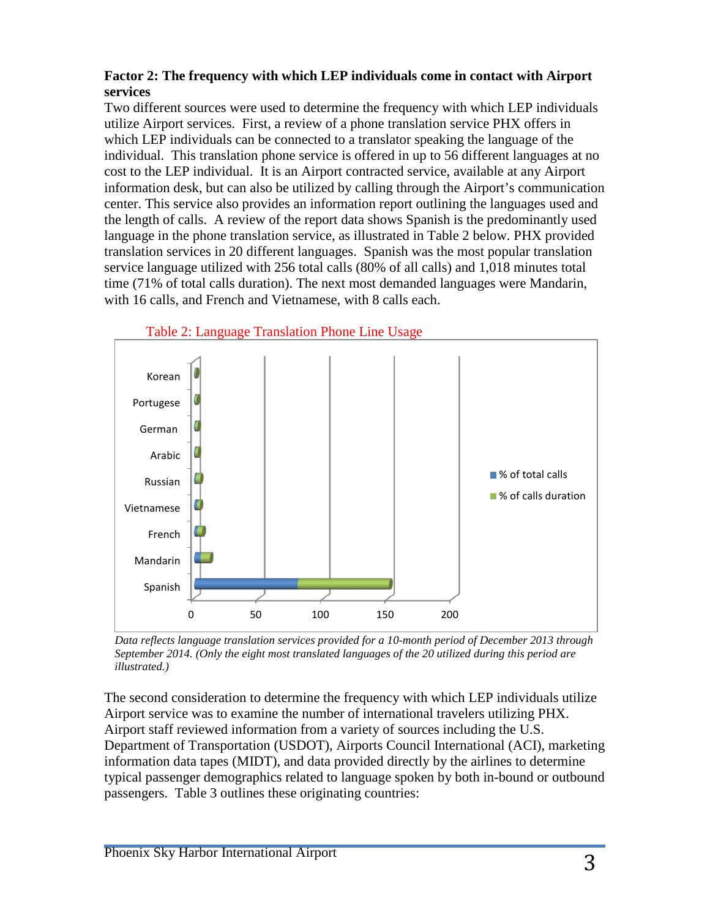## **Factor 2: The frequency with which LEP individuals come in contact with Airport services**

Two different sources were used to determine the frequency with which LEP individuals utilize Airport services. First, a review of a phone translation service PHX offers in which LEP individuals can be connected to a translator speaking the language of the individual. This translation phone service is offered in up to 56 different languages at no cost to the LEP individual. It is an Airport contracted service, available at any Airport information desk, but can also be utilized by calling through the Airport's communication center. This service also provides an information report outlining the languages used and the length of calls. A review of the report data shows Spanish is the predominantly used language in the phone translation service, as illustrated in Table 2 below. PHX provided translation services in 20 different languages. Spanish was the most popular translation service language utilized with 256 total calls (80% of all calls) and 1,018 minutes total time (71% of total calls duration). The next most demanded languages were Mandarin, with 16 calls, and French and Vietnamese, with 8 calls each.





*Data reflects language translation services provided for a 10-month period of December 2013 through September 2014. (Only the eight most translated languages of the 20 utilized during this period are illustrated.)* 

The second consideration to determine the frequency with which LEP individuals utilize Airport service was to examine the number of international travelers utilizing PHX. Airport staff reviewed information from a variety of sources including the U.S. Department of Transportation (USDOT), Airports Council International (ACI), marketing information data tapes (MIDT), and data provided directly by the airlines to determine typical passenger demographics related to language spoken by both in-bound or outbound passengers. Table 3 outlines these originating countries: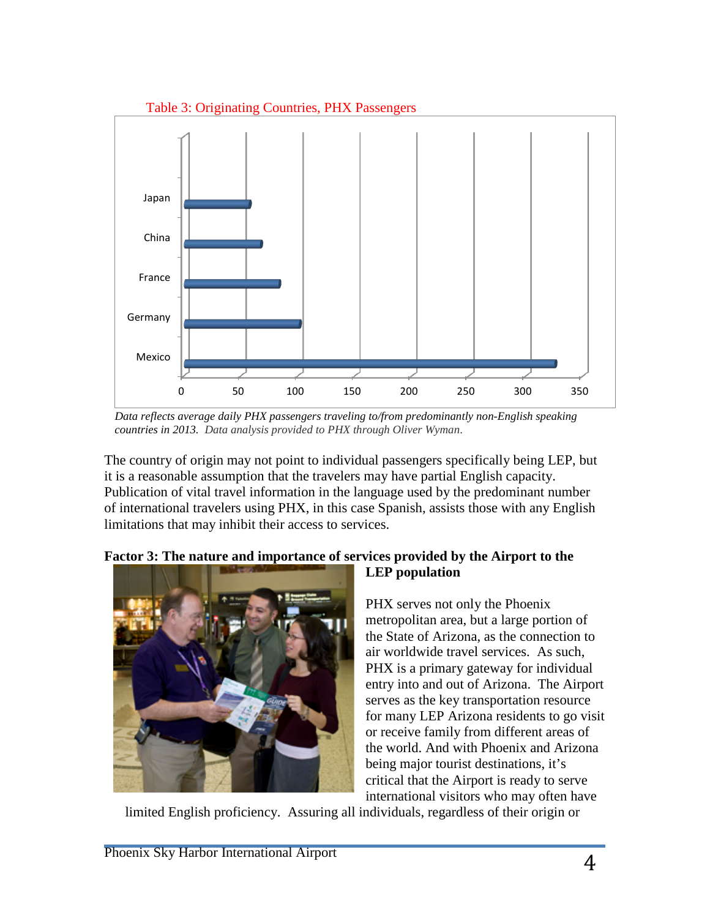

*Data reflects average daily PHX passengers traveling to/from predominantly non-English speaking countries in 2013. Data analysis provided to PHX through Oliver Wyman*.

The country of origin may not point to individual passengers specifically being LEP, but it is a reasonable assumption that the travelers may have partial English capacity. Publication of vital travel information in the language used by the predominant number of international travelers using PHX, in this case Spanish, assists those with any English limitations that may inhibit their access to services.

**LEP population**

## **Factor 3: The nature and importance of services provided by the Airport to the**



PHX serves not only the Phoenix metropolitan area, but a large portion of the State of Arizona, as the connection to air worldwide travel services. As such, PHX is a primary gateway for individual entry into and out of Arizona. The Airport serves as the key transportation resource for many LEP Arizona residents to go visit or receive family from different areas of the world. And with Phoenix and Arizona being major tourist destinations, it's critical that the Airport is ready to serve international visitors who may often have

limited English proficiency. Assuring all individuals, regardless of their origin or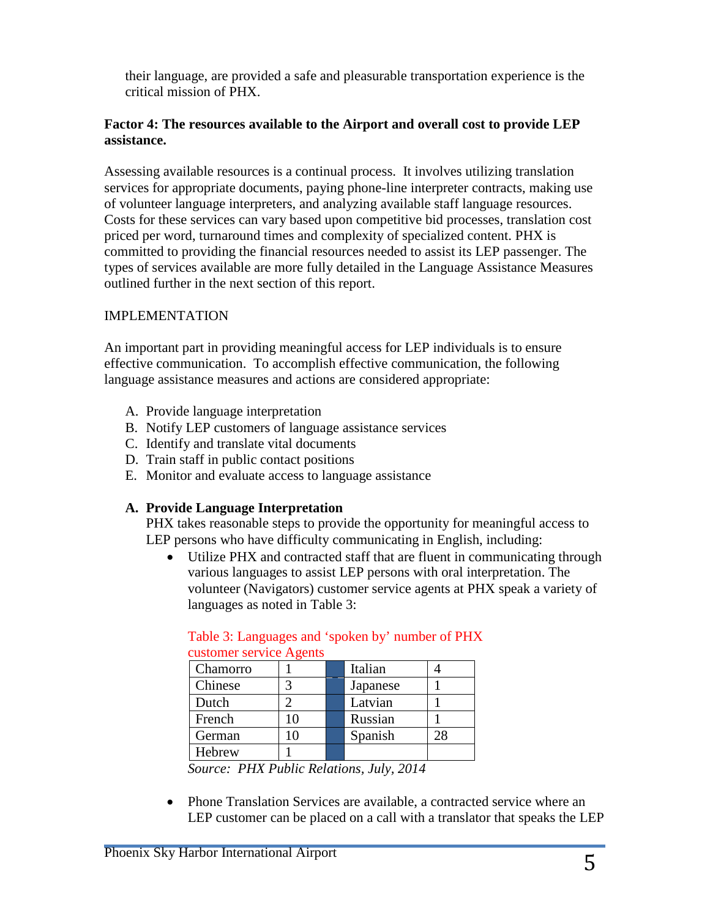their language, are provided a safe and pleasurable transportation experience is the critical mission of PHX.

## **Factor 4: The resources available to the Airport and overall cost to provide LEP assistance.**

Assessing available resources is a continual process. It involves utilizing translation services for appropriate documents, paying phone-line interpreter contracts, making use of volunteer language interpreters, and analyzing available staff language resources. Costs for these services can vary based upon competitive bid processes, translation cost priced per word, turnaround times and complexity of specialized content. PHX is committed to providing the financial resources needed to assist its LEP passenger. The types of services available are more fully detailed in the Language Assistance Measures outlined further in the next section of this report.

## IMPLEMENTATION

An important part in providing meaningful access for LEP individuals is to ensure effective communication. To accomplish effective communication, the following language assistance measures and actions are considered appropriate:

- A. Provide language interpretation
- B. Notify LEP customers of language assistance services
- C. Identify and translate vital documents
- D. Train staff in public contact positions
- E. Monitor and evaluate access to language assistance

## **A. Provide Language Interpretation**

PHX takes reasonable steps to provide the opportunity for meaningful access to LEP persons who have difficulty communicating in English, including:

• Utilize PHX and contracted staff that are fluent in communicating through various languages to assist LEP persons with oral interpretation. The volunteer (Navigators) customer service agents at PHX speak a variety of languages as noted in Table 3:

| Chamorro |  | Italian  |  |
|----------|--|----------|--|
| Chinese  |  | Japanese |  |
| Dutch    |  | Latvian  |  |
| French   |  | Russian  |  |
| German   |  | Spanish  |  |
| Hebrew   |  |          |  |

#### Table 3: Languages and 'spoken by' number of PHX customer service Agents

*Source: PHX Public Relations, July, 2014*

• Phone Translation Services are available, a contracted service where an LEP customer can be placed on a call with a translator that speaks the LEP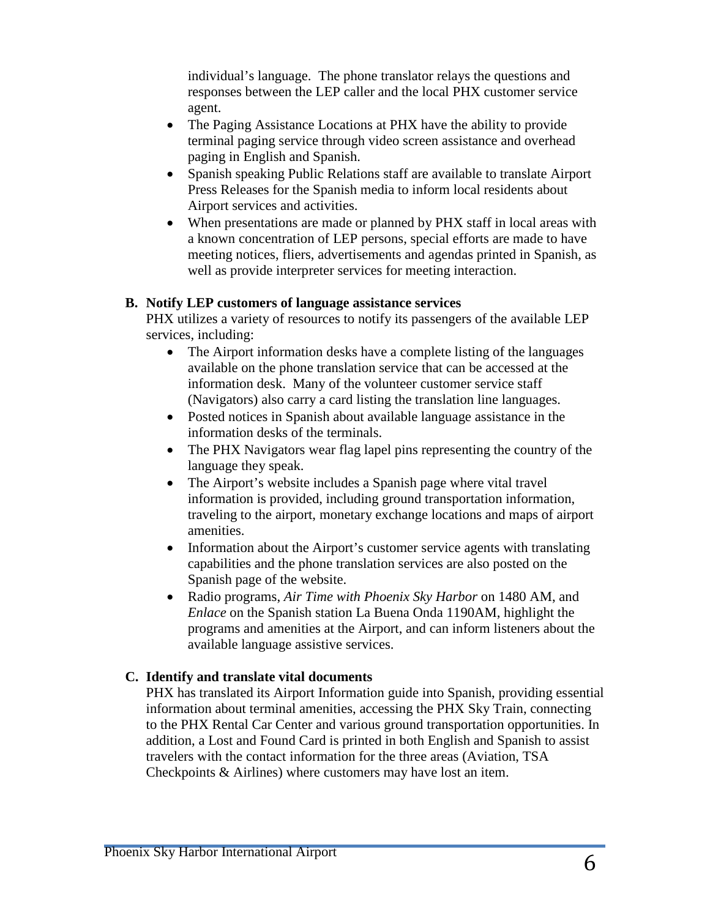individual's language. The phone translator relays the questions and responses between the LEP caller and the local PHX customer service agent.

- The Paging Assistance Locations at PHX have the ability to provide terminal paging service through video screen assistance and overhead paging in English and Spanish.
- Spanish speaking Public Relations staff are available to translate Airport Press Releases for the Spanish media to inform local residents about Airport services and activities.
- When presentations are made or planned by PHX staff in local areas with a known concentration of LEP persons, special efforts are made to have meeting notices, fliers, advertisements and agendas printed in Spanish, as well as provide interpreter services for meeting interaction.

## **B. Notify LEP customers of language assistance services**

PHX utilizes a variety of resources to notify its passengers of the available LEP services, including:

- The Airport information desks have a complete listing of the languages available on the phone translation service that can be accessed at the information desk. Many of the volunteer customer service staff (Navigators) also carry a card listing the translation line languages.
- Posted notices in Spanish about available language assistance in the information desks of the terminals.
- The PHX Navigators wear flag lapel pins representing the country of the language they speak.
- The Airport's website includes a Spanish page where vital travel information is provided, including ground transportation information, traveling to the airport, monetary exchange locations and maps of airport amenities.
- Information about the Airport's customer service agents with translating capabilities and the phone translation services are also posted on the Spanish page of the website.
- Radio programs, *Air Time with Phoenix Sky Harbor* on 1480 AM, and *Enlace* on the Spanish station La Buena Onda 1190AM, highlight the programs and amenities at the Airport, and can inform listeners about the available language assistive services.

# **C. Identify and translate vital documents**

PHX has translated its Airport Information guide into Spanish, providing essential information about terminal amenities, accessing the PHX Sky Train, connecting to the PHX Rental Car Center and various ground transportation opportunities. In addition, a Lost and Found Card is printed in both English and Spanish to assist travelers with the contact information for the three areas (Aviation, TSA Checkpoints & Airlines) where customers may have lost an item.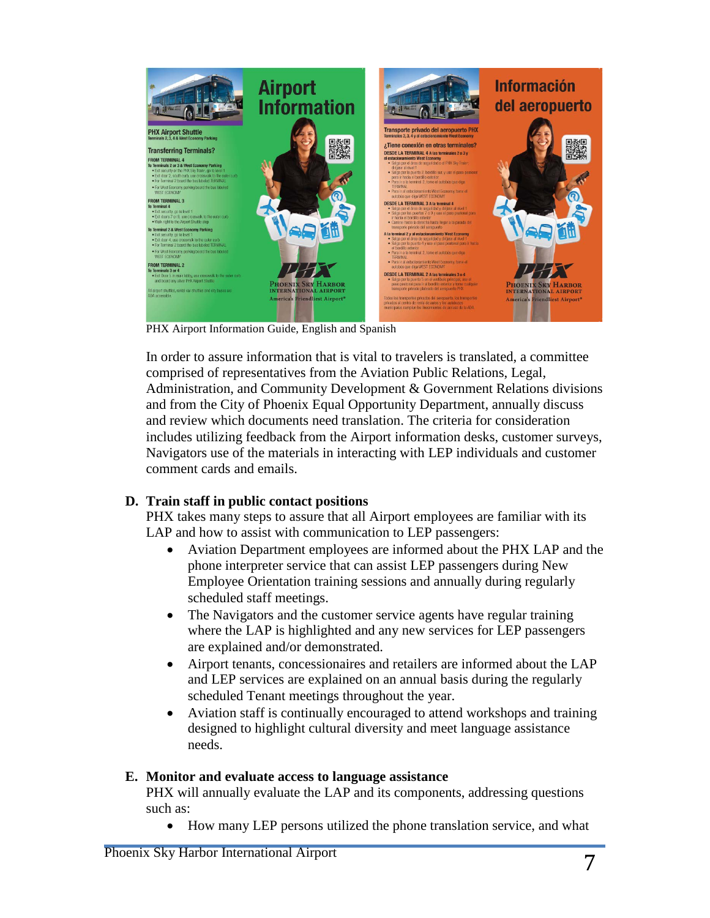

PHX Airport Information Guide, English and Spanish

In order to assure information that is vital to travelers is translated, a committee comprised of representatives from the Aviation Public Relations, Legal, Administration, and Community Development & Government Relations divisions and from the City of Phoenix Equal Opportunity Department, annually discuss and review which documents need translation. The criteria for consideration includes utilizing feedback from the Airport information desks, customer surveys, Navigators use of the materials in interacting with LEP individuals and customer comment cards and emails.

# **D. Train staff in public contact positions**

PHX takes many steps to assure that all Airport employees are familiar with its LAP and how to assist with communication to LEP passengers:

- Aviation Department employees are informed about the PHX LAP and the phone interpreter service that can assist LEP passengers during New Employee Orientation training sessions and annually during regularly scheduled staff meetings.
- The Navigators and the customer service agents have regular training where the LAP is highlighted and any new services for LEP passengers are explained and/or demonstrated.
- Airport tenants, concessionaires and retailers are informed about the LAP and LEP services are explained on an annual basis during the regularly scheduled Tenant meetings throughout the year.
- Aviation staff is continually encouraged to attend workshops and training designed to highlight cultural diversity and meet language assistance needs.

# **E. Monitor and evaluate access to language assistance**

PHX will annually evaluate the LAP and its components, addressing questions such as:

• How many LEP persons utilized the phone translation service, and what